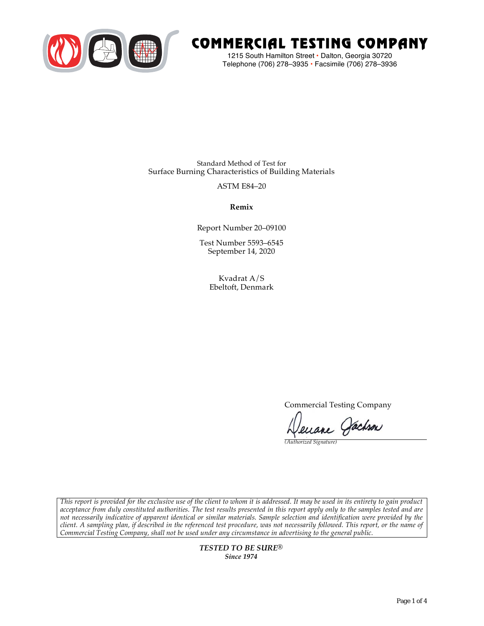

# COMMERCIAL TESTING COMPANY

1215 South Hamilton Street • Dalton, Georgia 30720 Telephone (706) 278–3935 **•** Facsimile (706) 278–3936

Standard Method of Test for Surface Burning Characteristics of Building Materials

ASTM E84–20

**Remix**

Report Number 20–09100

Test Number 5593–6545 September 14, 2020

> Kvadrat A/S Ebeltoft, Denmark

> > Commercial Testing Company

Jenane Jachson

*(Authorized Signature)* 

*This report is provided for the exclusive use of the client to whom it is addressed. It may be used in its entirety to gain product acceptance from duly constituted authorities. The test results presented in this report apply only to the samples tested and are not necessarily indicative of apparent identical or similar materials. Sample selection and identification were provided by the client. A sampling plan, if described in the referenced test procedure, was not necessarily followed. This report, or the name of Commercial Testing Company, shall not be used under any circumstance in advertising to the general public.* 

> *TESTED TO BE SURE® Since 1974*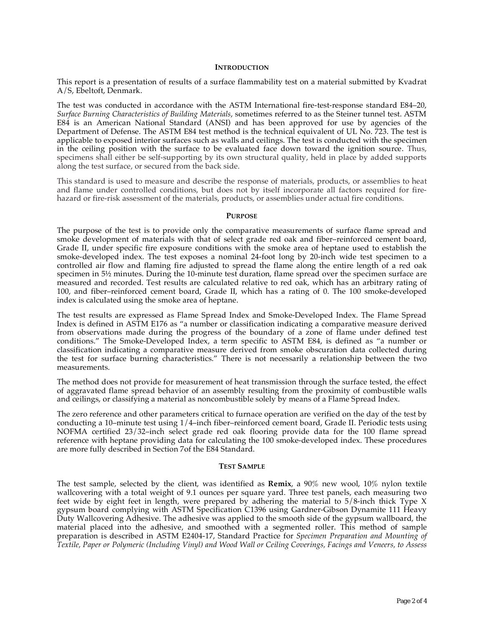#### **INTRODUCTION**

This report is a presentation of results of a surface flammability test on a material submitted by Kvadrat A/S, Ebeltoft, Denmark.

The test was conducted in accordance with the ASTM International fire-test-response standard E84–20, *Surface Burning Characteristics of Building Materials*, sometimes referred to as the Steiner tunnel test. ASTM E84 is an American National Standard (ANSI) and has been approved for use by agencies of the Department of Defense. The ASTM E84 test method is the technical equivalent of UL No. 723. The test is applicable to exposed interior surfaces such as walls and ceilings. The test is conducted with the specimen in the ceiling position with the surface to be evaluated face down toward the ignition source. Thus, specimens shall either be self-supporting by its own structural quality, held in place by added supports along the test surface, or secured from the back side.

This standard is used to measure and describe the response of materials, products, or assemblies to heat and flame under controlled conditions, but does not by itself incorporate all factors required for firehazard or fire-risk assessment of the materials, products, or assemblies under actual fire conditions.

#### **PURPOSE**

The purpose of the test is to provide only the comparative measurements of surface flame spread and smoke development of materials with that of select grade red oak and fiber–reinforced cement board, Grade II, under specific fire exposure conditions with the smoke area of heptane used to establish the smoke-developed index. The test exposes a nominal 24-foot long by 20-inch wide test specimen to a controlled air flow and flaming fire adjusted to spread the flame along the entire length of a red oak specimen in  $5\frac{1}{2}$  minutes. During the 10-minute test duration, flame spread over the specimen surface are measured and recorded. Test results are calculated relative to red oak, which has an arbitrary rating of 100, and fiber–reinforced cement board, Grade II, which has a rating of 0. The 100 smoke-developed index is calculated using the smoke area of heptane.

The test results are expressed as Flame Spread Index and Smoke-Developed Index. The Flame Spread Index is defined in ASTM E176 as "a number or classification indicating a comparative measure derived from observations made during the progress of the boundary of a zone of flame under defined test conditions." The Smoke-Developed Index, a term specific to ASTM E84, is defined as "a number or classification indicating a comparative measure derived from smoke obscuration data collected during the test for surface burning characteristics." There is not necessarily a relationship between the two measurements.

The method does not provide for measurement of heat transmission through the surface tested, the effect of aggravated flame spread behavior of an assembly resulting from the proximity of combustible walls and ceilings, or classifying a material as noncombustible solely by means of a Flame Spread Index.

The zero reference and other parameters critical to furnace operation are verified on the day of the test by conducting a 10–minute test using 1/4–inch fiber–reinforced cement board, Grade II. Periodic tests using NOFMA certified 23/32–inch select grade red oak flooring provide data for the 100 flame spread reference with heptane providing data for calculating the 100 smoke-developed index. These procedures are more fully described in Section 7of the E84 Standard.

#### **TEST SAMPLE**

The test sample, selected by the client, was identified as **Remix**, a 90% new wool, 10% nylon textile wallcovering with a total weight of 9.1 ounces per square yard. Three test panels, each measuring two feet wide by eight feet in length, were prepared by adhering the material to 5/8-inch thick Type X gypsum board complying with ASTM Specification C1396 using Gardner-Gibson Dynamite 111 Heavy Duty Wallcovering Adhesive. The adhesive was applied to the smooth side of the gypsum wallboard, the material placed into the adhesive, and smoothed with a segmented roller. This method of sample preparation is described in ASTM E2404-17, Standard Practice for *Specimen Preparation and Mounting of Textile, Paper or Polymeric (Including Vinyl) and Wood Wall or Ceiling Coverings, Facings and Veneers, to Assess*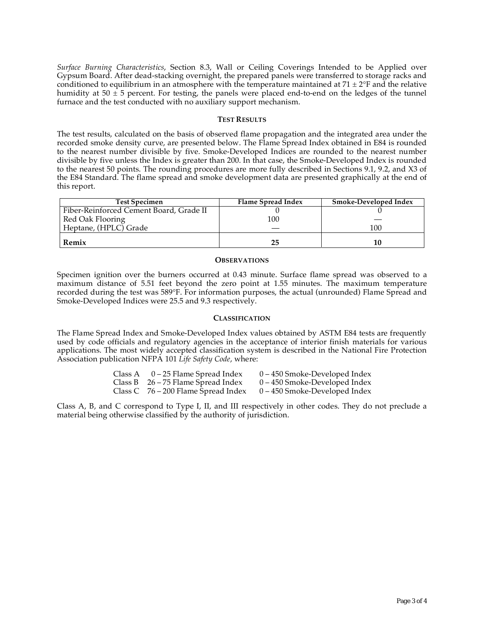*Surface Burning Characteristics*, Section 8.3, Wall or Ceiling Coverings Intended to be Applied over Gypsum Board. After dead-stacking overnight, the prepared panels were transferred to storage racks and conditioned to equilibrium in an atmosphere with the temperature maintained at 71  $\pm$  2°F and the relative humidity at  $50 \pm 5$  percent. For testing, the panels were placed end-to-end on the ledges of the tunnel furnace and the test conducted with no auxiliary support mechanism.

## **TEST RESULTS**

The test results, calculated on the basis of observed flame propagation and the integrated area under the recorded smoke density curve, are presented below. The Flame Spread Index obtained in E84 is rounded to the nearest number divisible by five. Smoke-Developed Indices are rounded to the nearest number divisible by five unless the Index is greater than 200. In that case, the Smoke-Developed Index is rounded to the nearest 50 points. The rounding procedures are more fully described in Sections 9.1, 9.2, and X3 of the E84 Standard. The flame spread and smoke development data are presented graphically at the end of this report.

| <b>Test Specimen</b>                    | Flame Spread Index | Smoke-Developed Index |
|-----------------------------------------|--------------------|-----------------------|
| Fiber-Reinforced Cement Board, Grade II |                    |                       |
| Red Oak Flooring                        | 100                |                       |
| Heptane, (HPLC) Grade                   |                    | 100                   |
| Remix                                   | 25                 |                       |

## **OBSERVATIONS**

Specimen ignition over the burners occurred at 0.43 minute. Surface flame spread was observed to a maximum distance of 5.51 feet beyond the zero point at 1.55 minutes. The maximum temperature recorded during the test was 589°F. For information purposes, the actual (unrounded) Flame Spread and Smoke-Developed Indices were 25.5 and 9.3 respectively.

# **CLASSIFICATION**

The Flame Spread Index and Smoke-Developed Index values obtained by ASTM E84 tests are frequently used by code officials and regulatory agencies in the acceptance of interior finish materials for various applications. The most widely accepted classification system is described in the National Fire Protection Association publication NFPA 101 *Life Safety Code*, where:

| Class A | 0 – 25 Flame Spread Index             | 0 – 450 Smoke-Developed Index   |
|---------|---------------------------------------|---------------------------------|
|         | Class B $26 - 75$ Flame Spread Index  | $0 - 450$ Smoke-Developed Index |
|         | Class C $76 - 200$ Flame Spread Index | $0 - 450$ Smoke-Developed Index |

Class A, B, and C correspond to Type I, II, and III respectively in other codes. They do not preclude a material being otherwise classified by the authority of jurisdiction.